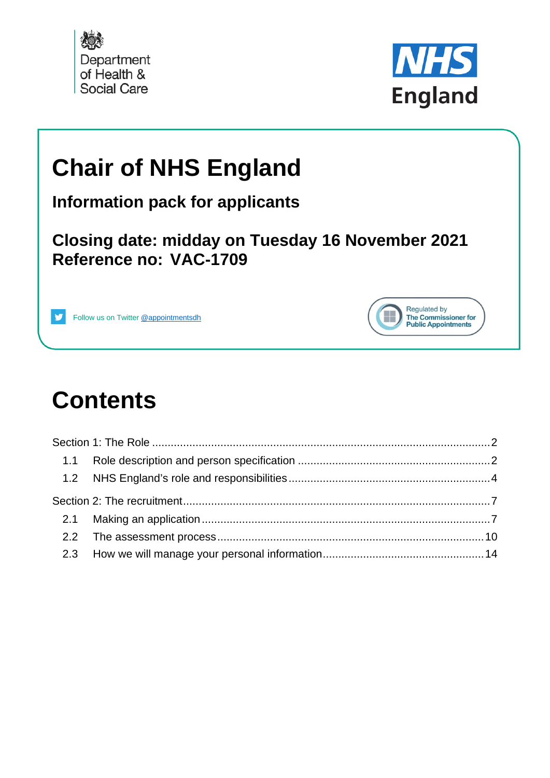



Regulated by The Commissioner for

**Public Appointments** 

# **Chair of NHS England**

**Information pack for applicants**

**Closing date: midday on Tuesday 16 November 2021 Reference no: VAC-1709**



# **Contents**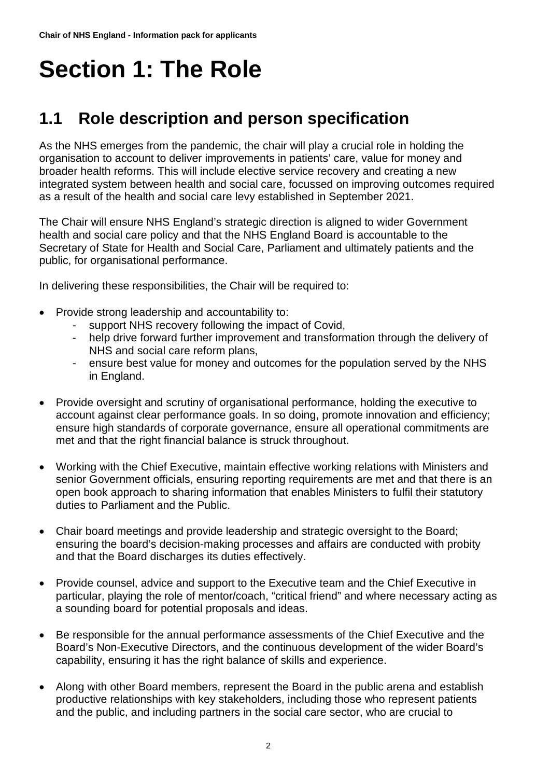# <span id="page-1-0"></span>**Section 1: The Role**

# <span id="page-1-1"></span>**1.1 Role description and person specification**

As the NHS emerges from the pandemic, the chair will play a crucial role in holding the organisation to account to deliver improvements in patients' care, value for money and broader health reforms. This will include elective service recovery and creating a new integrated system between health and social care, focussed on improving outcomes required as a result of the health and social care levy established in September 2021.

The Chair will ensure NHS England's strategic direction is aligned to wider Government health and social care policy and that the NHS England Board is accountable to the Secretary of State for Health and Social Care, Parliament and ultimately patients and the public, for organisational performance.

In delivering these responsibilities, the Chair will be required to:

- Provide strong leadership and accountability to:
	- support NHS recovery following the impact of Covid,
	- help drive forward further improvement and transformation through the delivery of NHS and social care reform plans,
	- ensure best value for money and outcomes for the population served by the NHS in England.
- Provide oversight and scrutiny of organisational performance, holding the executive to account against clear performance goals. In so doing, promote innovation and efficiency; ensure high standards of corporate governance, ensure all operational commitments are met and that the right financial balance is struck throughout.
- Working with the Chief Executive, maintain effective working relations with Ministers and senior Government officials, ensuring reporting requirements are met and that there is an open book approach to sharing information that enables Ministers to fulfil their statutory duties to Parliament and the Public.
- Chair board meetings and provide leadership and strategic oversight to the Board; ensuring the board's decision-making processes and affairs are conducted with probity and that the Board discharges its duties effectively.
- Provide counsel, advice and support to the Executive team and the Chief Executive in particular, playing the role of mentor/coach, "critical friend" and where necessary acting as a sounding board for potential proposals and ideas.
- Be responsible for the annual performance assessments of the Chief Executive and the Board's Non-Executive Directors, and the continuous development of the wider Board's capability, ensuring it has the right balance of skills and experience.
- Along with other Board members, represent the Board in the public arena and establish productive relationships with key stakeholders, including those who represent patients and the public, and including partners in the social care sector, who are crucial to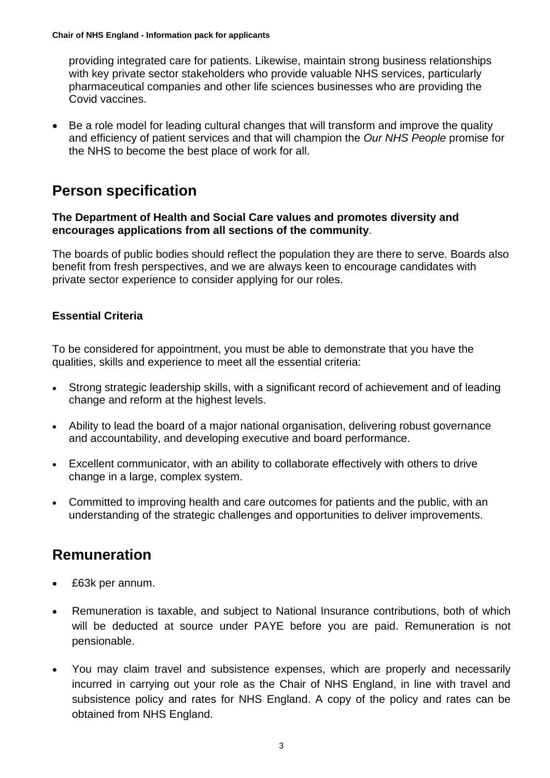providing integrated care for patients. Likewise, maintain strong business relationships with key private sector stakeholders who provide valuable NHS services, particularly pharmaceutical companies and other life sciences businesses who are providing the Covid vaccines.

• Be a role model for leading cultural changes that will transform and improve the quality and efficiency of patient services and that will champion the *Our NHS People* promise for the NHS to become the best place of work for all.

### **Person specification**

#### **The Department of Health and Social Care values and promotes diversity and encourages applications from all sections of the community**.

The boards of public bodies should reflect the population they are there to serve. Boards also benefit from fresh perspectives, and we are always keen to encourage candidates with private sector experience to consider applying for our roles.

#### **Essential Criteria**

To be considered for appointment, you must be able to demonstrate that you have the qualities, skills and experience to meet all the essential criteria:

- Strong strategic leadership skills, with a significant record of achievement and of leading change and reform at the highest levels.
- Ability to lead the board of a major national organisation, delivering robust governance and accountability, and developing executive and board performance.
- Excellent communicator, with an ability to collaborate effectively with others to drive change in a large, complex system.
- Committed to improving health and care outcomes for patients and the public, with an understanding of the strategic challenges and opportunities to deliver improvements.

### **Remuneration**

- £63k per annum.
- Remuneration is taxable, and subject to National Insurance contributions, both of which will be deducted at source under PAYE before you are paid. Remuneration is not pensionable.
- You may claim travel and subsistence expenses, which are properly and necessarily incurred in carrying out your role as the Chair of NHS England, in line with travel and subsistence policy and rates for NHS England. A copy of the policy and rates can be obtained from NHS England.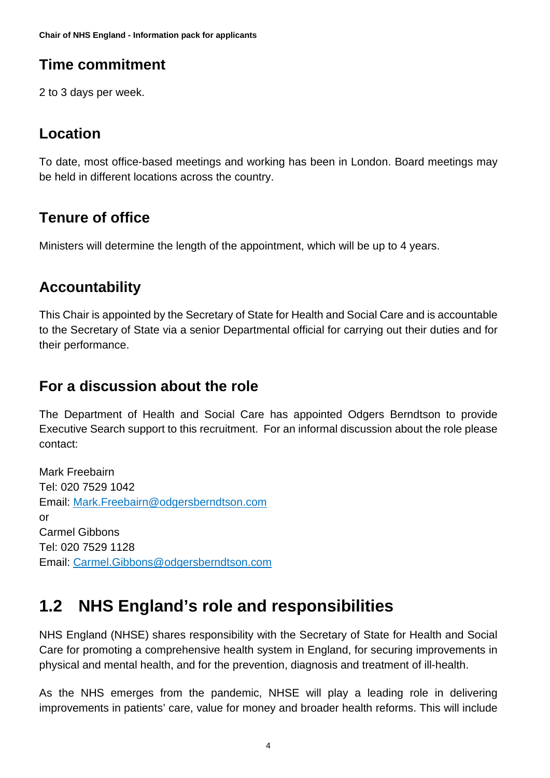**Chair of NHS England - Information pack for applicants**

# **Time commitment**

2 to 3 days per week.

### **Location**

To date, most office-based meetings and working has been in London. Board meetings may be held in different locations across the country.

# **Tenure of office**

Ministers will determine the length of the appointment, which will be up to 4 years.

# **Accountability**

This Chair is appointed by the Secretary of State for Health and Social Care and is accountable to the Secretary of State via a senior Departmental official for carrying out their duties and for their performance.

### **For a discussion about the role**

The Department of Health and Social Care has appointed Odgers Berndtson to provide Executive Search support to this recruitment. For an informal discussion about the role please contact:

Mark Freebairn Tel: 020 7529 1042 Email: [Mark.Freebairn@odgersberndtson.com](mailto:Mark.Freebairn@odgersberndtson.com) or Carmel Gibbons Tel: 020 7529 1128 Email: [Carmel.Gibbons@odgersberndtson.com](mailto:Carmel.Gibbons@odgersberndtson.com)

# <span id="page-3-0"></span>**1.2 NHS England's role and responsibilities**

NHS England (NHSE) shares responsibility with the Secretary of State for Health and Social Care for promoting a comprehensive health system in England, for securing improvements in physical and mental health, and for the prevention, diagnosis and treatment of ill-health.

As the NHS emerges from the pandemic, NHSE will play a leading role in delivering improvements in patients' care, value for money and broader health reforms. This will include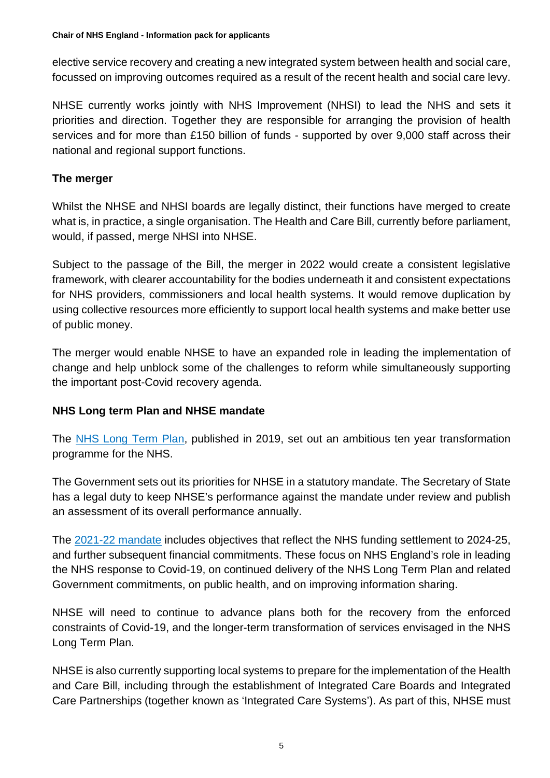elective service recovery and creating a new integrated system between health and social care, focussed on improving outcomes required as a result of the recent health and social care levy.

NHSE currently works jointly with NHS Improvement (NHSI) to lead the NHS and sets it priorities and direction. Together they are responsible for arranging the provision of health services and for more than £150 billion of funds - supported by over 9,000 staff across their national and regional support functions.

#### **The merger**

Whilst the NHSE and NHSI boards are legally distinct, their functions have merged to create what is, in practice, a single organisation. The Health and Care Bill, currently before parliament, would, if passed, merge NHSI into NHSE.

Subject to the passage of the Bill, the merger in 2022 would create a consistent legislative framework, with clearer accountability for the bodies underneath it and consistent expectations for NHS providers, commissioners and local health systems. It would remove duplication by using collective resources more efficiently to support local health systems and make better use of public money.

The merger would enable NHSE to have an expanded role in leading the implementation of change and help unblock some of the challenges to reform while simultaneously supporting the important post-Covid recovery agenda.

#### **NHS Long term Plan and NHSE mandate**

The [NHS Long Term Plan,](https://www.longtermplan.nhs.uk/) published in 2019, set out an ambitious ten year transformation programme for the NHS.

The Government sets out its priorities for NHSE in a statutory mandate. The Secretary of State has a legal duty to keep NHSE's performance against the mandate under review and publish an assessment of its overall performance annually.

The [2021-22 mandate](https://www.gov.uk/government/publications/nhs-mandate-2021-to-2022) includes objectives that reflect the NHS funding settlement to 2024-25, and further subsequent financial commitments. These focus on NHS England's role in leading the NHS response to Covid-19, on continued delivery of the NHS Long Term Plan and related Government commitments, on public health, and on improving information sharing.

NHSE will need to continue to advance plans both for the recovery from the enforced constraints of Covid-19, and the longer-term transformation of services envisaged in the NHS Long Term Plan.

NHSE is also currently supporting local systems to prepare for the implementation of the Health and Care Bill, including through the establishment of Integrated Care Boards and Integrated Care Partnerships (together known as 'Integrated Care Systems'). As part of this, NHSE must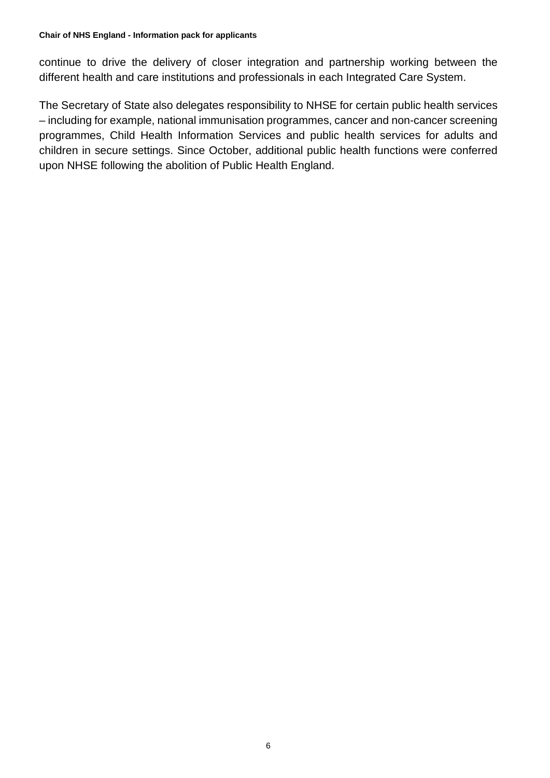continue to drive the delivery of closer integration and partnership working between the different health and care institutions and professionals in each Integrated Care System.

The Secretary of State also delegates responsibility to NHSE for certain public health services – including for example, national immunisation programmes, cancer and non-cancer screening programmes, Child Health Information Services and public health services for adults and children in secure settings. Since October, additional public health functions were conferred upon NHSE following the abolition of Public Health England.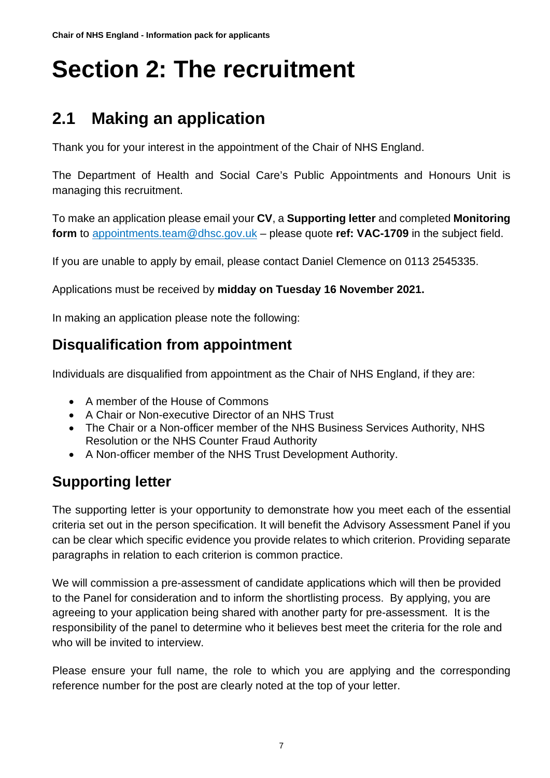# <span id="page-6-0"></span>**Section 2: The recruitment**

# <span id="page-6-1"></span>**2.1 Making an application**

Thank you for your interest in the appointment of the Chair of NHS England.

The Department of Health and Social Care's Public Appointments and Honours Unit is managing this recruitment.

To make an application please email your **CV**, a **Supporting letter** and completed **Monitoring form** to [appointments.team@dhsc.gov.uk](mailto:appointments.team@dhsc.gov.uk) – please quote **ref: VAC-1709** in the subject field.

If you are unable to apply by email, please contact Daniel Clemence on 0113 2545335.

Applications must be received by **midday on Tuesday 16 November 2021.**

In making an application please note the following:

## **Disqualification from appointment**

Individuals are disqualified from appointment as the Chair of NHS England, if they are:

- A member of the House of Commons
- A Chair or Non-executive Director of an NHS Trust
- The Chair or a Non-officer member of the NHS Business Services Authority, NHS Resolution or the NHS Counter Fraud Authority
- A Non-officer member of the NHS Trust Development Authority.

# **Supporting letter**

The supporting letter is your opportunity to demonstrate how you meet each of the essential criteria set out in the person specification. It will benefit the Advisory Assessment Panel if you can be clear which specific evidence you provide relates to which criterion. Providing separate paragraphs in relation to each criterion is common practice.

We will commission a pre-assessment of candidate applications which will then be provided to the Panel for consideration and to inform the shortlisting process. By applying, you are agreeing to your application being shared with another party for pre-assessment. It is the responsibility of the panel to determine who it believes best meet the criteria for the role and who will be invited to interview.

Please ensure your full name, the role to which you are applying and the corresponding reference number for the post are clearly noted at the top of your letter.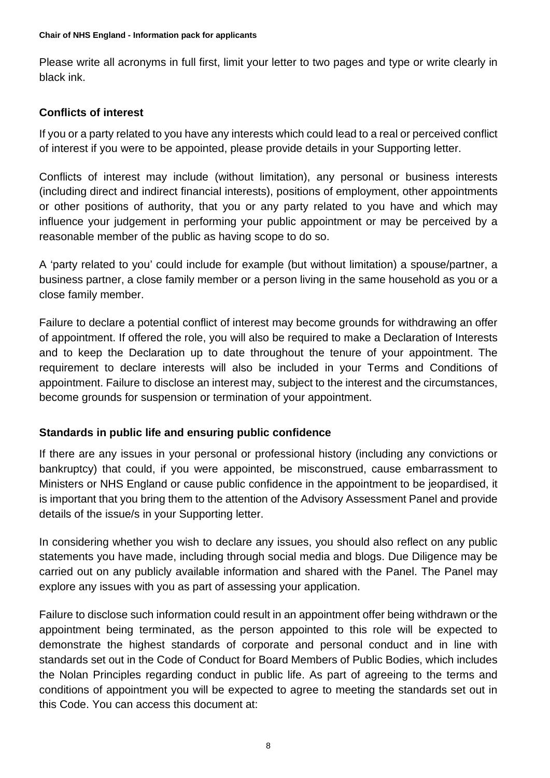Please write all acronyms in full first, limit your letter to two pages and type or write clearly in black ink.

#### **Conflicts of interest**

If you or a party related to you have any interests which could lead to a real or perceived conflict of interest if you were to be appointed, please provide details in your Supporting letter.

Conflicts of interest may include (without limitation), any personal or business interests (including direct and indirect financial interests), positions of employment, other appointments or other positions of authority, that you or any party related to you have and which may influence your judgement in performing your public appointment or may be perceived by a reasonable member of the public as having scope to do so.

A 'party related to you' could include for example (but without limitation) a spouse/partner, a business partner, a close family member or a person living in the same household as you or a close family member.

Failure to declare a potential conflict of interest may become grounds for withdrawing an offer of appointment. If offered the role, you will also be required to make a Declaration of Interests and to keep the Declaration up to date throughout the tenure of your appointment. The requirement to declare interests will also be included in your Terms and Conditions of appointment. Failure to disclose an interest may, subject to the interest and the circumstances, become grounds for suspension or termination of your appointment.

#### **Standards in public life and ensuring public confidence**

If there are any issues in your personal or professional history (including any convictions or bankruptcy) that could, if you were appointed, be misconstrued, cause embarrassment to Ministers or NHS England or cause public confidence in the appointment to be jeopardised, it is important that you bring them to the attention of the Advisory Assessment Panel and provide details of the issue/s in your Supporting letter.

In considering whether you wish to declare any issues, you should also reflect on any public statements you have made, including through social media and blogs. Due Diligence may be carried out on any publicly available information and shared with the Panel. The Panel may explore any issues with you as part of assessing your application.

Failure to disclose such information could result in an appointment offer being withdrawn or the appointment being terminated, as the person appointed to this role will be expected to demonstrate the highest standards of corporate and personal conduct and in line with standards set out in the Code of Conduct for Board Members of Public Bodies, which includes the Nolan Principles regarding conduct in public life. As part of agreeing to the terms and conditions of appointment you will be expected to agree to meeting the standards set out in this Code. You can access this document at: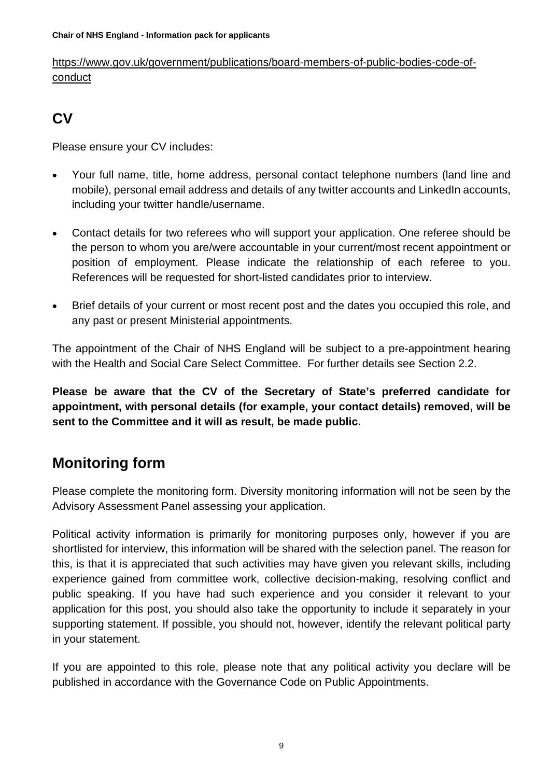[https://www.gov.uk/government/publications/board-members-of-public-bodies-code-of](https://www.gov.uk/government/publications/board-members-of-public-bodies-code-of-conduct)[conduct](https://www.gov.uk/government/publications/board-members-of-public-bodies-code-of-conduct)

# **CV**

Please ensure your CV includes:

- Your full name, title, home address, personal contact telephone numbers (land line and mobile), personal email address and details of any twitter accounts and LinkedIn accounts, including your twitter handle/username.
- Contact details for two referees who will support your application. One referee should be the person to whom you are/were accountable in your current/most recent appointment or position of employment. Please indicate the relationship of each referee to you. References will be requested for short-listed candidates prior to interview.
- Brief details of your current or most recent post and the dates you occupied this role, and any past or present Ministerial appointments.

The appointment of the Chair of NHS England will be subject to a pre-appointment hearing with the Health and Social Care Select Committee. For further details see Section 2.2.

**Please be aware that the CV of the Secretary of State's preferred candidate for appointment, with personal details (for example, your contact details) removed, will be sent to the Committee and it will as result, be made public.**

# **Monitoring form**

Please complete the monitoring form. Diversity monitoring information will not be seen by the Advisory Assessment Panel assessing your application.

Political activity information is primarily for monitoring purposes only, however if you are shortlisted for interview, this information will be shared with the selection panel. The reason for this, is that it is appreciated that such activities may have given you relevant skills, including experience gained from committee work, collective decision-making, resolving conflict and public speaking. If you have had such experience and you consider it relevant to your application for this post, you should also take the opportunity to include it separately in your supporting statement. If possible, you should not, however, identify the relevant political party in your statement.

If you are appointed to this role, please note that any political activity you declare will be published in accordance with the Governance Code on Public Appointments.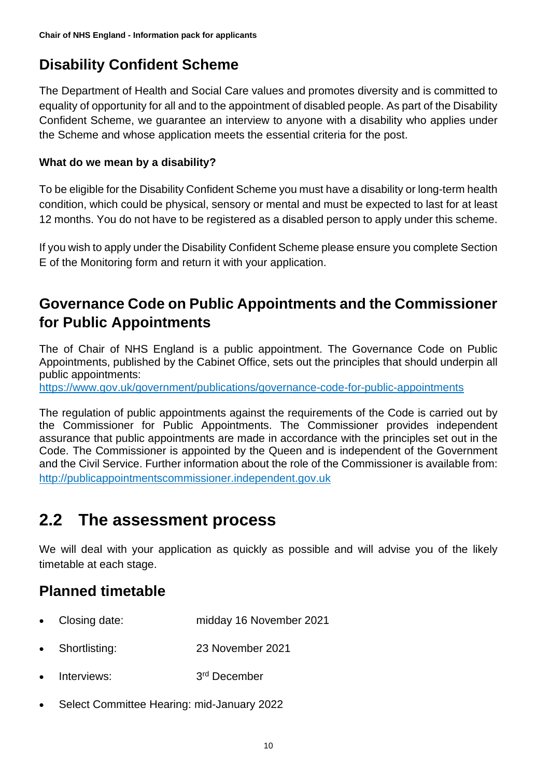# **Disability Confident Scheme**

The Department of Health and Social Care values and promotes diversity and is committed to equality of opportunity for all and to the appointment of disabled people. As part of the Disability Confident Scheme, we guarantee an interview to anyone with a disability who applies under the Scheme and whose application meets the essential criteria for the post.

#### **What do we mean by a disability?**

To be eligible for the Disability Confident Scheme you must have a disability or long-term health condition, which could be physical, sensory or mental and must be expected to last for at least 12 months. You do not have to be registered as a disabled person to apply under this scheme.

If you wish to apply under the Disability Confident Scheme please ensure you complete Section E of the Monitoring form and return it with your application.

## **Governance Code on Public Appointments and the Commissioner for Public Appointments**

The of Chair of NHS England is a public appointment. The Governance Code on Public Appointments, published by the Cabinet Office, sets out the principles that should underpin all public appointments:

<https://www.gov.uk/government/publications/governance-code-for-public-appointments>

The regulation of public appointments against the requirements of the Code is carried out by the Commissioner for Public Appointments. The Commissioner provides independent assurance that public appointments are made in accordance with the principles set out in the Code. The Commissioner is appointed by the Queen and is independent of the Government and the Civil Service. Further information about the role of the Commissioner is available from: [http://publicappointmentscommissioner.independent.gov.uk](http://publicappointmentscommissioner.independent.gov.uk/) 

# <span id="page-9-0"></span>**2.2 The assessment process**

We will deal with your application as quickly as possible and will advise you of the likely timetable at each stage.

# **Planned timetable**

- Closing date: midday 16 November 2021
- Shortlisting: 23 November 2021
- Interviews: 3<sup>rd</sup> December
- Select Committee Hearing: mid-January 2022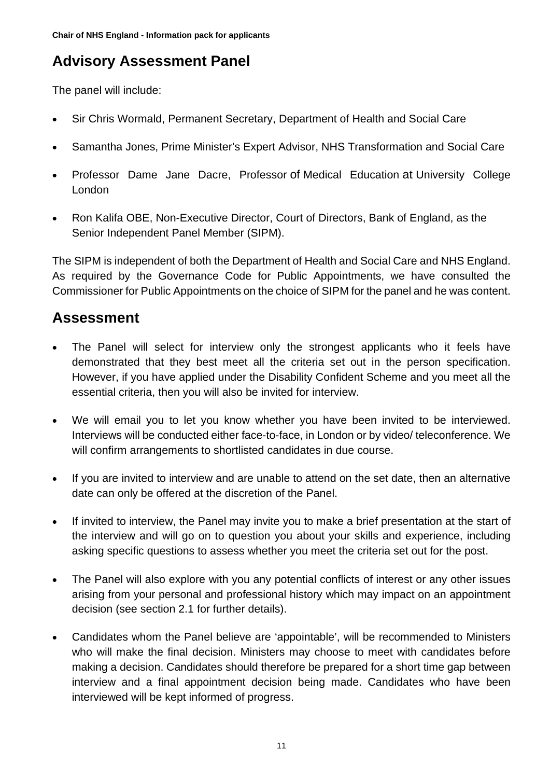# **Advisory Assessment Panel**

The panel will include:

- Sir Chris Wormald, Permanent Secretary, Department of Health and Social Care
- Samantha Jones, Prime Minister's Expert Advisor, NHS Transformation and Social Care
- Professor Dame Jane Dacre, Professor of Medical Education at University College London
- Ron Kalifa OBE, Non-Executive Director, Court of Directors, Bank of England, as the Senior Independent Panel Member (SIPM).

The SIPM is independent of both the Department of Health and Social Care and NHS England. As required by the Governance Code for Public Appointments, we have consulted the Commissioner for Public Appointments on the choice of SIPM for the panel and he was content.

# **Assessment**

- The Panel will select for interview only the strongest applicants who it feels have demonstrated that they best meet all the criteria set out in the person specification. However, if you have applied under the Disability Confident Scheme and you meet all the essential criteria, then you will also be invited for interview.
- We will email you to let you know whether you have been invited to be interviewed. Interviews will be conducted either face-to-face, in London or by video/ teleconference. We will confirm arrangements to shortlisted candidates in due course.
- If you are invited to interview and are unable to attend on the set date, then an alternative date can only be offered at the discretion of the Panel.
- If invited to interview, the Panel may invite you to make a brief presentation at the start of the interview and will go on to question you about your skills and experience, including asking specific questions to assess whether you meet the criteria set out for the post.
- The Panel will also explore with you any potential conflicts of interest or any other issues arising from your personal and professional history which may impact on an appointment decision (see section 2.1 for further details).
- Candidates whom the Panel believe are 'appointable', will be recommended to Ministers who will make the final decision. Ministers may choose to meet with candidates before making a decision. Candidates should therefore be prepared for a short time gap between interview and a final appointment decision being made. Candidates who have been interviewed will be kept informed of progress.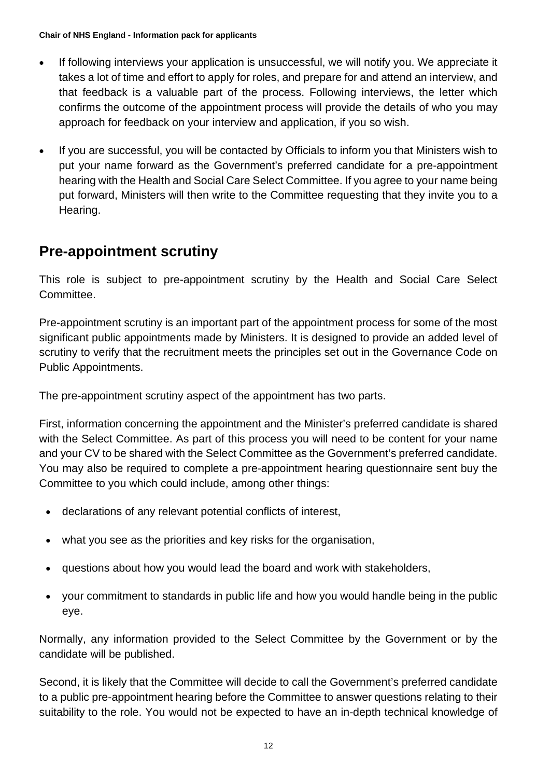- If following interviews your application is unsuccessful, we will notify you. We appreciate it takes a lot of time and effort to apply for roles, and prepare for and attend an interview, and that feedback is a valuable part of the process. Following interviews, the letter which confirms the outcome of the appointment process will provide the details of who you may approach for feedback on your interview and application, if you so wish.
- If you are successful, you will be contacted by Officials to inform you that Ministers wish to put your name forward as the Government's preferred candidate for a pre-appointment hearing with the Health and Social Care Select Committee. If you agree to your name being put forward, Ministers will then write to the Committee requesting that they invite you to a Hearing.

## **Pre-appointment scrutiny**

This role is subject to pre-appointment scrutiny by the Health and Social Care Select Committee.

Pre-appointment scrutiny is an important part of the appointment process for some of the most significant public appointments made by Ministers. It is designed to provide an added level of scrutiny to verify that the recruitment meets the principles set out in the Governance Code on Public Appointments.

The pre-appointment scrutiny aspect of the appointment has two parts.

First, information concerning the appointment and the Minister's preferred candidate is shared with the Select Committee. As part of this process you will need to be content for your name and your CV to be shared with the Select Committee as the Government's preferred candidate. You may also be required to complete a pre-appointment hearing questionnaire sent buy the Committee to you which could include, among other things:

- declarations of any relevant potential conflicts of interest,
- what you see as the priorities and key risks for the organisation,
- questions about how you would lead the board and work with stakeholders,
- your commitment to standards in public life and how you would handle being in the public eye.

Normally, any information provided to the Select Committee by the Government or by the candidate will be published.

Second, it is likely that the Committee will decide to call the Government's preferred candidate to a public pre-appointment hearing before the Committee to answer questions relating to their suitability to the role. You would not be expected to have an in-depth technical knowledge of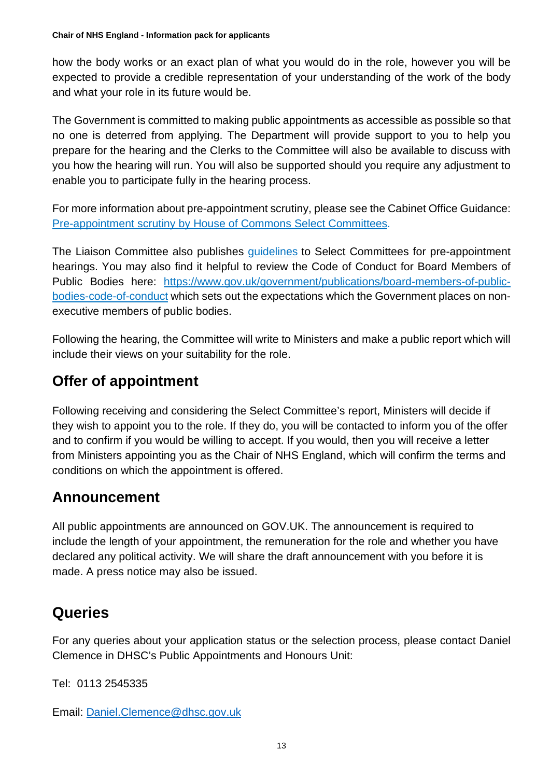how the body works or an exact plan of what you would do in the role, however you will be expected to provide a credible representation of your understanding of the work of the body and what your role in its future would be.

The Government is committed to making public appointments as accessible as possible so that no one is deterred from applying. The Department will provide support to you to help you prepare for the hearing and the Clerks to the Committee will also be available to discuss with you how the hearing will run. You will also be supported should you require any adjustment to enable you to participate fully in the hearing process.

For more information about pre-appointment scrutiny, please see the Cabinet Office Guidance: Pre-appointment scrutiny [by House of Commons Select Committees.](https://www.gov.uk/government/publications/pre-appointment-scrutiny-by-house-of-commons-select-committees)

The Liaison Committee also publishes [guidelines](https://old.parliament.uk/business/committees/committees-a-z/commons-select/liaison-committee/role/pre-appointment-guidelines/) to Select Committees for pre-appointment hearings. You may also find it helpful to review the Code of Conduct for Board Members of Public Bodies here: [https://www.gov.uk/government/publications/board-members-of-public](https://www.gov.uk/government/publications/board-members-of-public-bodies-code-of-conduct)[bodies-code-of-conduct](https://www.gov.uk/government/publications/board-members-of-public-bodies-code-of-conduct) which sets out the expectations which the Government places on nonexecutive members of public bodies.

Following the hearing, the Committee will write to Ministers and make a public report which will include their views on your suitability for the role.

## **Offer of appointment**

Following receiving and considering the Select Committee's report, Ministers will decide if they wish to appoint you to the role. If they do, you will be contacted to inform you of the offer and to confirm if you would be willing to accept. If you would, then you will receive a letter from Ministers appointing you as the Chair of NHS England, which will confirm the terms and conditions on which the appointment is offered.

### **Announcement**

All public appointments are announced on GOV.UK. The announcement is required to include the length of your appointment, the remuneration for the role and whether you have declared any political activity. We will share the draft announcement with you before it is made. A press notice may also be issued.

# **Queries**

For any queries about your application status or the selection process, please contact Daniel Clemence in DHSC's Public Appointments and Honours Unit:

Tel: 0113 2545335

Email: [Daniel.Clemence@dhsc.gov.uk](mailto:Daniel.Clemence@dhsc.gov.uk)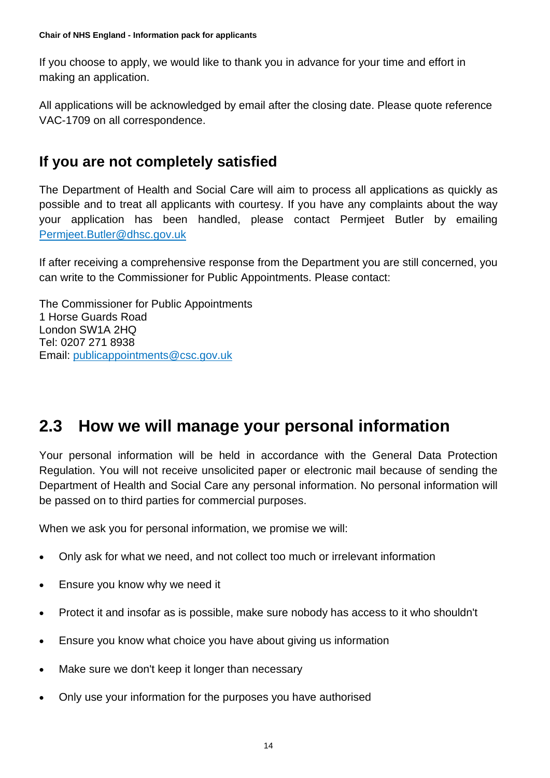If you choose to apply, we would like to thank you in advance for your time and effort in making an application.

All applications will be acknowledged by email after the closing date. Please quote reference VAC-1709 on all correspondence.

# **If you are not completely satisfied**

The Department of Health and Social Care will aim to process all applications as quickly as possible and to treat all applicants with courtesy. If you have any complaints about the way your application has been handled, please contact Permjeet Butler by emailing [Permjeet.Butler@dhsc.gov.uk](mailto:Permjeet.Butler@dhsc.gov.uk)

If after receiving a comprehensive response from the Department you are still concerned, you can write to the Commissioner for Public Appointments. Please contact:

The Commissioner for Public Appointments 1 Horse Guards Road London SW1A 2HQ Tel: 0207 271 8938 Email: [publicappointments@csc.gov.uk](mailto:publicappointments@csc.gsi.gov.uk)

# <span id="page-13-0"></span>**2.3 How we will manage your personal information**

Your personal information will be held in accordance with the General Data Protection Regulation. You will not receive unsolicited paper or electronic mail because of sending the Department of Health and Social Care any personal information. No personal information will be passed on to third parties for commercial purposes.

When we ask you for personal information, we promise we will:

- Only ask for what we need, and not collect too much or irrelevant information
- Ensure you know why we need it
- Protect it and insofar as is possible, make sure nobody has access to it who shouldn't
- Ensure you know what choice you have about giving us information
- Make sure we don't keep it longer than necessary
- Only use your information for the purposes you have authorised